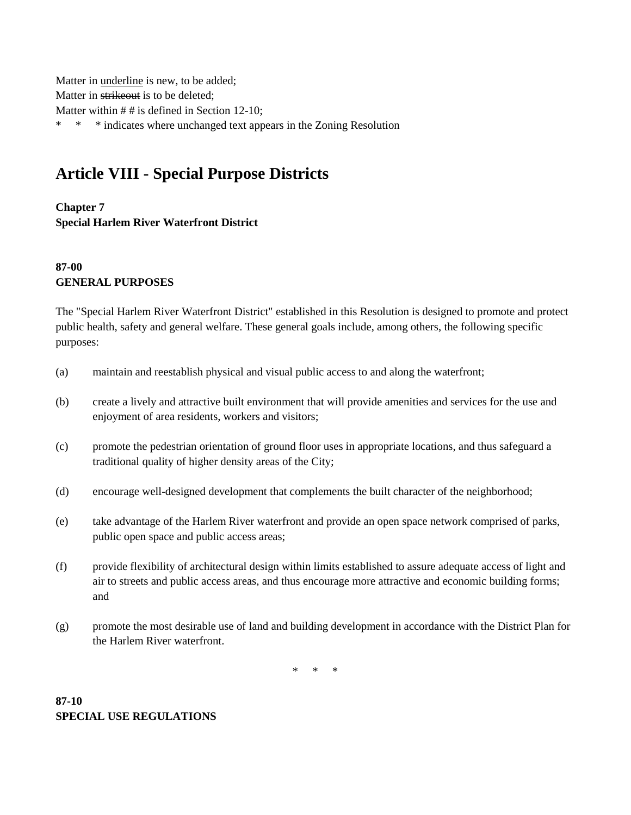Matter in underline is new, to be added; Matter in strikeout is to be deleted; Matter within  $# #$  is defined in Section 12-10; \* \* \* indicates where unchanged text appears in the Zoning Resolution

# **Article VIII - Special Purpose Districts**

## **Chapter 7 Special Harlem River Waterfront District**

# **87-00 GENERAL PURPOSES**

The "Special Harlem River Waterfront District" established in this Resolution is designed to promote and protect public health, safety and general welfare. These general goals include, among others, the following specific purposes:

- (a) maintain and reestablish physical and visual public access to and along the waterfront;
- (b) create a lively and attractive built environment that will provide amenities and services for the use and enjoyment of area residents, workers and visitors;
- (c) promote the pedestrian orientation of ground floor uses in appropriate locations, and thus safeguard a traditional quality of higher density areas of the City;
- (d) encourage well-designed development that complements the built character of the neighborhood;
- (e) take advantage of the Harlem River waterfront and provide an open space network comprised of parks, public open space and public access areas;
- (f) provide flexibility of architectural design within limits established to assure adequate access of light and air to streets and public access areas, and thus encourage more attractive and economic building forms; and
- (g) promote the most desirable use of land and building development in accordance with the District Plan for the Harlem River waterfront.

\* \* \*

## **87-10 SPECIAL USE REGULATIONS**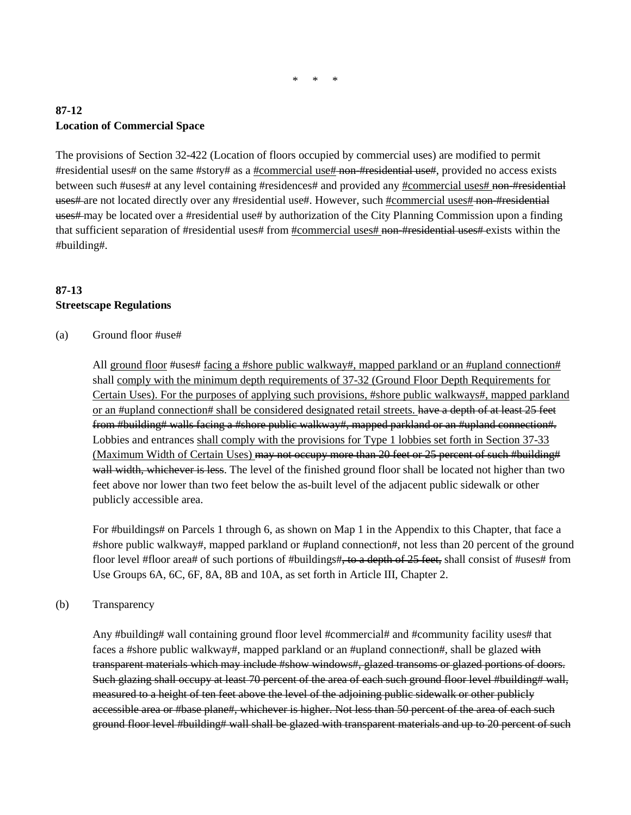$\mathbf{r}$ 

## **87-12 Location of Commercial Space**

The provisions of Section 32-422 (Location of floors occupied by commercial uses) are modified to permit #residential uses# on the same #story# as a #commercial use# non-#residential use#, provided no access exists between such #uses# at any level containing #residences# and provided any #commercial uses# non-#residential uses# are not located directly over any #residential use#. However, such #commercial uses# non-#residential uses# may be located over a #residential use# by authorization of the City Planning Commission upon a finding that sufficient separation of #residential uses# from #commercial uses# non-#residential uses# exists within the #building#.

## **87-13 Streetscape Regulations**

### (a) Ground floor #use#

All ground floor #uses# facing a #shore public walkway#, mapped parkland or an #upland connection# shall comply with the minimum depth requirements of 37-32 (Ground Floor Depth Requirements for Certain Uses). For the purposes of applying such provisions, #shore public walkways#, mapped parkland or an #upland connection# shall be considered designated retail streets. have a depth of at least 25 feet from #building# walls facing a #shore public walkway#, mapped parkland or an #upland connection#. Lobbies and entrances shall comply with the provisions for Type 1 lobbies set forth in Section 37-33 (Maximum Width of Certain Uses) may not occupy more than 20 feet or 25 percent of such #building# wall width, whichever is less. The level of the finished ground floor shall be located not higher than two feet above nor lower than two feet below the as-built level of the adjacent public sidewalk or other publicly accessible area.

For #buildings# on Parcels 1 through 6, as shown on Map 1 in the Appendix to this Chapter, that face a #shore public walkway#, mapped parkland or #upland connection#, not less than 20 percent of the ground floor level #floor area# of such portions of #buildings#, to a depth of 25 feet, shall consist of #uses# from Use Groups 6A, 6C, 6F, 8A, 8B and 10A, as set forth in Article III, Chapter 2.

#### (b) Transparency

Any #building# wall containing ground floor level #commercial# and #community facility uses# that faces a #shore public walkway#, mapped parkland or an #upland connection#, shall be glazed with transparent materials which may include #show windows#, glazed transoms or glazed portions of doors. Such glazing shall occupy at least 70 percent of the area of each such ground floor level #building# wall, measured to a height of ten feet above the level of the adjoining public sidewalk or other publicly accessible area or #base plane#, whichever is higher. Not less than 50 percent of the area of each such ground floor level #building# wall shall be glazed with transparent materials and up to 20 percent of such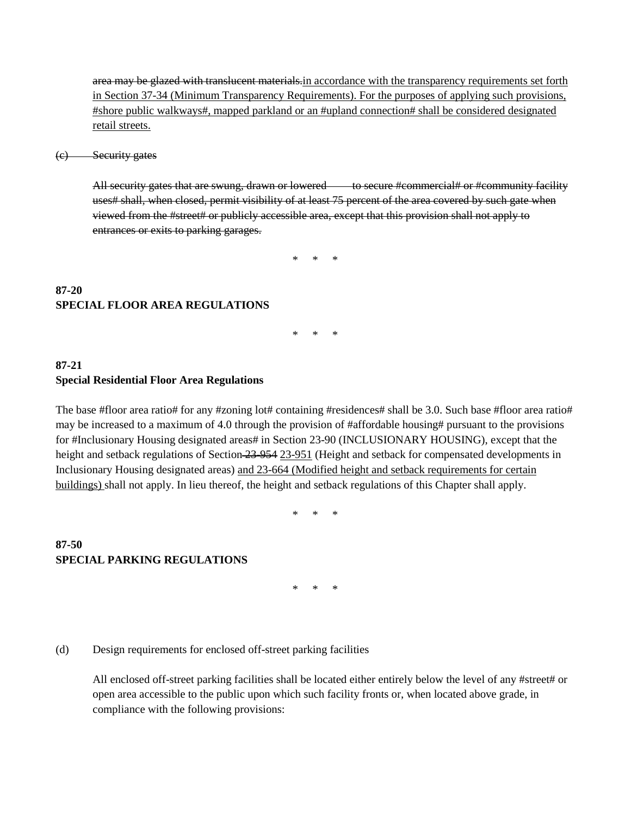area may be glazed with translucent materials in accordance with the transparency requirements set forth in Section 37-34 (Minimum Transparency Requirements). For the purposes of applying such provisions, #shore public walkways#, mapped parkland or an #upland connection# shall be considered designated retail streets.

(c) Security gates

All security gates that are swung, drawn or lowered to secure #commercial# or #community facility uses# shall, when closed, permit visibility of at least 75 percent of the area covered by such gate when viewed from the #street# or publicly accessible area, except that this provision shall not apply to entrances or exits to parking garages.

\* \* \*

## **87-20 SPECIAL FLOOR AREA REGULATIONS**

 $*$ 

### **87-21 Special Residential Floor Area Regulations**

The base #floor area ratio# for any #zoning lot# containing #residences# shall be 3.0. Such base #floor area ratio# may be increased to a maximum of 4.0 through the provision of #affordable housing# pursuant to the provisions for #Inclusionary Housing designated areas# in Section 23-90 (INCLUSIONARY HOUSING), except that the height and setback regulations of Section 23-954 23-951 (Height and setback for compensated developments in Inclusionary Housing designated areas) and 23-664 (Modified height and setback requirements for certain buildings) shall not apply. In lieu thereof, the height and setback regulations of this Chapter shall apply.

\* \* \*

### **87-50 SPECIAL PARKING REGULATIONS**

\* \* \*

#### (d) Design requirements for enclosed off-street parking facilities

All enclosed off-street parking facilities shall be located either entirely below the level of any #street# or open area accessible to the public upon which such facility fronts or, when located above grade, in compliance with the following provisions: